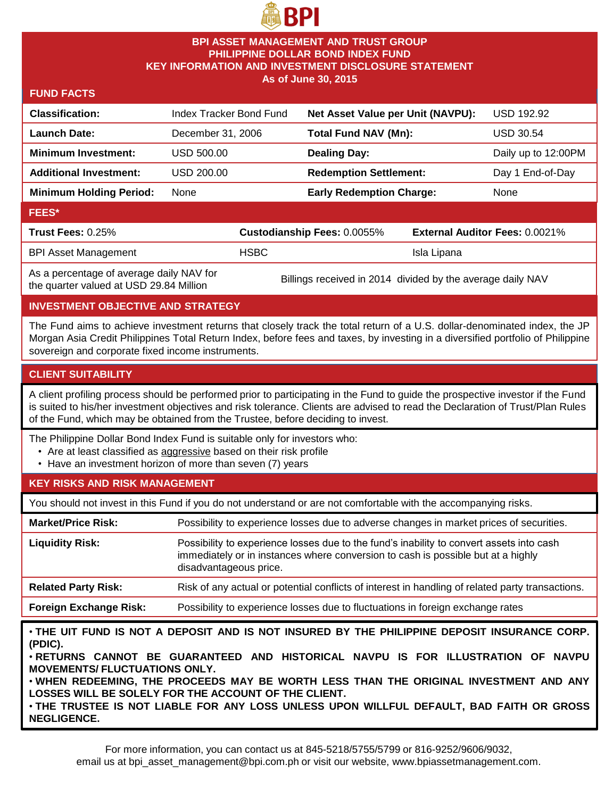

#### **BPI ASSET MANAGEMENT AND TRUST GROUP PHILIPPINE DOLLAR BOND INDEX FUND KEY INFORMATION AND INVESTMENT DISCLOSURE STATEMENT As of June 30, 2015**

#### **FUND FACTS**

| <b>Classification:</b>                           | Index Tracker Bond Fund |                             | Net Asset Value per Unit (NAVPU): |                                       | <b>USD 192.92</b>   |
|--------------------------------------------------|-------------------------|-----------------------------|-----------------------------------|---------------------------------------|---------------------|
| <b>Launch Date:</b>                              | December 31, 2006       |                             | Total Fund NAV (Mn):              |                                       | USD 30.54           |
| <b>Minimum Investment:</b>                       | USD 500.00              |                             | <b>Dealing Day:</b>               |                                       | Daily up to 12:00PM |
| <b>Additional Investment:</b>                    | USD 200.00              |                             | <b>Redemption Settlement:</b>     |                                       | Day 1 End-of-Day    |
| <b>Minimum Holding Period:</b>                   | None                    |                             | <b>Early Redemption Charge:</b>   |                                       | None                |
| <b>FEES*</b>                                     |                         |                             |                                   |                                       |                     |
| Trust Fees: 0.25%                                |                         | Custodianship Fees: 0.0055% |                                   | <b>External Auditor Fees: 0.0021%</b> |                     |
| <b>BPI Asset Management</b>                      |                         | <b>HSBC</b>                 |                                   | Isla Lipana                           |                     |
| $\Delta$ e a narcantaga of average daily NAV for |                         |                             |                                   |                                       |                     |

As a percentage of average daily NAV for

As a percentage of average daily NAV for Billings received in 2014 divided by the average daily NAV the quarter valued at USD 29.84 Million

## **INVESTMENT OBJECTIVE AND STRATEGY**

The Fund aims to achieve investment returns that closely track the total return of a U.S. dollar-denominated index, the JP Morgan Asia Credit Philippines Total Return Index, before fees and taxes, by investing in a diversified portfolio of Philippine sovereign and corporate fixed income instruments.

#### **CLIENT SUITABILITY**

A client profiling process should be performed prior to participating in the Fund to guide the prospective investor if the Fund is suited to his/her investment objectives and risk tolerance. Clients are advised to read the Declaration of Trust/Plan Rules of the Fund, which may be obtained from the Trustee, before deciding to invest.

The Philippine Dollar Bond Index Fund is suitable only for investors who:

- Are at least classified as aggressive based on their risk profile
- Have an investment horizon of more than seven (7) years

## **KEY RISKS AND RISK MANAGEMENT**

You should not invest in this Fund if you do not understand or are not comfortable with the accompanying risks.

| <b>Market/Price Risk:</b>     | Possibility to experience losses due to adverse changes in market prices of securities.                                                                                                                |
|-------------------------------|--------------------------------------------------------------------------------------------------------------------------------------------------------------------------------------------------------|
| <b>Liquidity Risk:</b>        | Possibility to experience losses due to the fund's inability to convert assets into cash<br>immediately or in instances where conversion to cash is possible but at a highly<br>disadvantageous price. |
| <b>Related Party Risk:</b>    | Risk of any actual or potential conflicts of interest in handling of related party transactions.                                                                                                       |
| <b>Foreign Exchange Risk:</b> | Possibility to experience losses due to fluctuations in foreign exchange rates                                                                                                                         |

• **THE UIT FUND IS NOT A DEPOSIT AND IS NOT INSURED BY THE PHILIPPINE DEPOSIT INSURANCE CORP. (PDIC).**

• **RETURNS CANNOT BE GUARANTEED AND HISTORICAL NAVPU IS FOR ILLUSTRATION OF NAVPU MOVEMENTS/ FLUCTUATIONS ONLY.**

• **WHEN REDEEMING, THE PROCEEDS MAY BE WORTH LESS THAN THE ORIGINAL INVESTMENT AND ANY LOSSES WILL BE SOLELY FOR THE ACCOUNT OF THE CLIENT.**

• **THE TRUSTEE IS NOT LIABLE FOR ANY LOSS UNLESS UPON WILLFUL DEFAULT, BAD FAITH OR GROSS NEGLIGENCE.**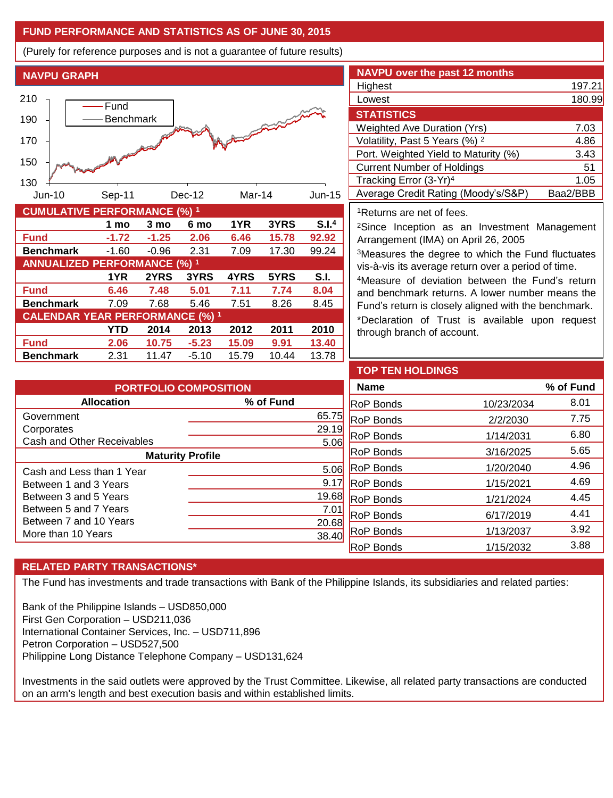## **FUND PERFORMANCE AND STATISTICS AS OF JUNE 30, 2015**

(Purely for reference purposes and is not a guarantee of future results)

**NAVPU GRAPH**



**Fund 6.46 7.48 5.01 7.11 7.74 8.04 Benchmark** 7.09 7.68 5.46 7.51 8.26 8.45

**Fund 2.06 10.75 -5.23 15.09 9.91 13.40 Benchmark** 2.31 11.47 -5.10 15.79 10.44 13.78

**CALENDAR YEAR PERFORMANCE (%) <sup>1</sup>**

**1YR 2YRS 3YRS 4YRS 5YRS S.I.**

**YTD 2014 2013 2012 2011 2010**

| <b>NAVPU over the past 12 months</b>      |          |
|-------------------------------------------|----------|
| Highest                                   | 197.21   |
| Lowest                                    | 180.99   |
| <b>STATISTICS</b>                         |          |
| <b>Weighted Ave Duration (Yrs)</b>        | 7.03     |
| Volatility, Past 5 Years (%) <sup>2</sup> | 4.86     |
| Port. Weighted Yield to Maturity (%)      | 3.43     |
| <b>Current Number of Holdings</b>         | 51       |
| Tracking Error (3-Yr) <sup>4</sup>        | 1.05     |
| Average Credit Rating (Moody's/S&P)       | Baa2/BBB |

<sup>1</sup>Returns are net of fees.

<sup>2</sup>Since Inception as an Investment Management Arrangement (IMA) on April 26, 2005

<sup>3</sup>Measures the degree to which the Fund fluctuates vis-à-vis its average return over a period of time.

<sup>4</sup>Measure of deviation between the Fund's return and benchmark returns. A lower number means the Fund's return is closely aligned with the benchmark.

\*Declaration of Trust is available upon request through branch of account.

| <b>PORTFOLIO COMPOSITION</b> |               |  |  |  |  |
|------------------------------|---------------|--|--|--|--|
| <b>Allocation</b>            | % of Fund     |  |  |  |  |
| Government                   | 65.75         |  |  |  |  |
| Corporates                   | 29.19         |  |  |  |  |
| Cash and Other Receivables   | 5.06          |  |  |  |  |
| <b>Maturity Profile</b>      |               |  |  |  |  |
| Cash and Less than 1 Year    | 5.06          |  |  |  |  |
| Between 1 and 3 Years        | 9.17          |  |  |  |  |
| Between 3 and 5 Years        | 19.68         |  |  |  |  |
| Between 5 and 7 Years        | $7.0^{\circ}$ |  |  |  |  |
| Between 7 and 10 Years       | 20.68         |  |  |  |  |
| More than 10 Years           |               |  |  |  |  |

| <b>TOP TEN HOLDINGS</b> |            |           |
|-------------------------|------------|-----------|
| <b>Name</b>             |            | % of Fund |
| <b>RoP Bonds</b>        | 10/23/2034 | 8.01      |
| <b>RoP Bonds</b>        | 2/2/2030   | 7.75      |
| <b>RoP Bonds</b>        | 1/14/2031  | 6.80      |
| <b>RoP Bonds</b>        | 3/16/2025  | 5.65      |
| <b>RoP Bonds</b>        | 1/20/2040  | 4.96      |
| <b>RoP Bonds</b>        | 1/15/2021  | 4.69      |
| <b>RoP Bonds</b>        | 1/21/2024  | 4.45      |
| <b>RoP Bonds</b>        | 6/17/2019  | 4.41      |
| <b>RoP Bonds</b>        | 1/13/2037  | 3.92      |
| <b>RoP Bonds</b>        | 1/15/2032  | 3.88      |

# **RELATED PARTY TRANSACTIONS\***

The Fund has investments and trade transactions with Bank of the Philippine Islands, its subsidiaries and related parties:

Bank of the Philippine Islands – USD850,000 First Gen Corporation – USD211,036 International Container Services, Inc. – USD711,896 Petron Corporation – USD527,500 Philippine Long Distance Telephone Company – USD131,624

Investments in the said outlets were approved by the Trust Committee. Likewise, all related party transactions are conducted on an arm's length and best execution basis and within established limits.